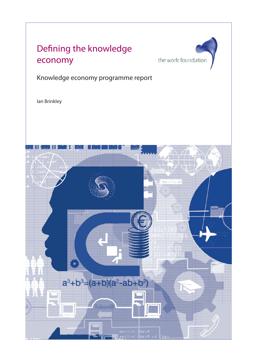

Knowledge economy programme report

Ian Brinkley

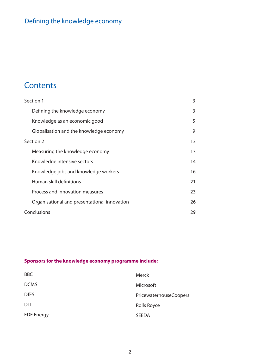# **Contents**

| Section 1                                    | 3  |
|----------------------------------------------|----|
| Defining the knowledge economy               | 3  |
| Knowledge as an economic good                | 5  |
| Globalisation and the knowledge economy      | 9  |
| Section 2                                    | 13 |
| Measuring the knowledge economy              | 13 |
| Knowledge intensive sectors                  | 14 |
| Knowledge jobs and knowledge workers         | 16 |
| Human skill definitions                      | 21 |
| Process and innovation measures              | 23 |
| Organisational and presentational innovation | 26 |
| Conclusions                                  | 29 |

## **Sponsors for the knowledge economy programme include:**

| <b>BBC</b>        | <b>Merck</b>           |
|-------------------|------------------------|
| <b>DCMS</b>       | Microsoft              |
| <b>DfES</b>       | PricewaterhouseCoopers |
| <b>DTI</b>        | <b>Rolls Royce</b>     |
| <b>EDF Energy</b> | <b>SEEDA</b>           |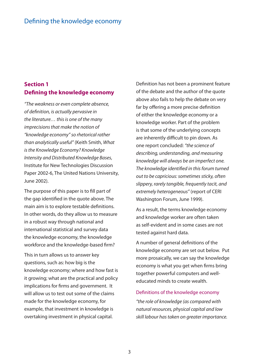### **Section 1 Defining the knowledge economy**

"The weakness or even complete absence, of definition, is actually pervasive in the literature… this is one of the many imprecisions that make the notion of "knowledge economy" so rhetorical rather than analytically useful" (Keith Smith, What is the Knowledge Economy? Knowledge Intensity and Distributed Knowledge Bases, Institute for New Technologies Discussion Paper 2002-6, The United Nations University, June 2002).

The purpose of this paper is to fill part of the gap identified in the quote above. The main aim is to explore testable definitions. In other words, do they allow us to measure in a robust way through national and international statistical and survey data the knowledge economy, the knowledge workforce and the knowledge-based firm?

This in turn allows us to answer key questions, such as: how big is the knowledge economy; where and how fast is it growing; what are the practical and policy implications for firms and government. It will allow us to test out some of the claims made for the knowledge economy, for example, that investment in knowledge is overtaking investment in physical capital.

Definition has not been a prominent feature of the debate and the author of the quote above also fails to help the debate on very far by offering a more precise definition of either the knowledge economy or a knowledge worker. Part of the problem is that some of the underlying concepts are inherently difficult to pin down. As one report concluded: "the science of describing, understanding, and measuring knowledge will always be an imperfect one. The knowledge identified in this forum turned out to be capricious: sometimes sticky, often slippery, rarely tangible, frequently tacit, and extremely heterogeneous" (report of CERI Washington Forum, June 1999).

As a result, the terms knowledge economy and knowledge worker are often taken as self-evident and in some cases are not tested against hard data.

A number of general definitions of the knowledge economy are set out below. Put more prosaically, we can say the knowledge economy is what you get when firms bring together powerful computers and welleducated minds to create wealth.

#### Definitions of the knowledge economy

"the role of knowledge (as compared with natural resources, physical capital and low skill labour has taken on greater importance.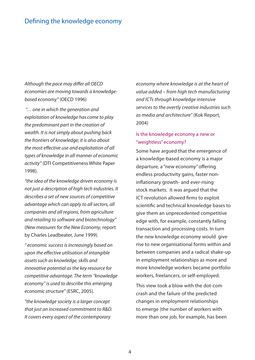Although the pace may differ all OECD economies are moving towards a knowledgebased economy" (OECD 1996)

 "… one in which the generation and exploitation of knowledge has come to play the predominant part in the creation of wealth. It is not simply about pushing back the frontiers of knowledge; it is also about the most effective use and exploitation of all types of knowledge in all manner of economic activity" (DTI Competitiveness White Paper 1998).

"the idea of the knowledge driven economy is not just a description of high tech industries. It describes a set of new sources of competitive advantage which can apply to all sectors, all companies and all regions, from agriculture and retailing to software and biotechnology" (New measures for the New Economy, report by Charles Leadbeater, June 1999).

" economic success is increasingly based on upon the effective utilisation of intangible assets such as knowledge, skills and innovative potential as the key resource for competitive advantage. The term "knowledge economy" is used to describe this emerging economic structure" (ESRC, 2005).

"the knowledge society is a larger concept that just an increased commitment to R&D. It covers every aspect of the contemporary

economy where knowledge is at the heart of value added – from high tech manufacturing and ICTs through knowledge intensive services to the overtly creative industries such as media and architecture" (Kok Report, 2004)

### Is the knowledge economy a new or "weightless" economy?

Some have argued that the emergence of a knowledge-based economy is a major departure, a "new economy" offering endless productivity gains, faster noninflationary growth- and ever-rising stock markets. It was argued that the ICT revolution allowed firms to exploit scientific and technical knowledge bases to give them an unprecedented competitive edge with, for example, constantly falling transaction and processing costs. In turn the new knowledge economy would give rise to new organisational forms within and between companies and a radical shake-up in employment relationships as more and more knowledge workers became portfolio workers, freelancers, or self-employed.

This view took a blow with the dot-com crash and the failure of the predicted changes in employment relationships to emerge (the number of workers with more than one job, for example, has been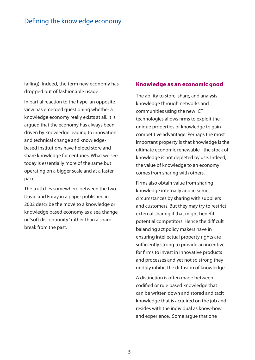falling). Indeed, the term new economy has dropped out of fashionable usage.

In partial reaction to the hype, an opposite view has emerged questioning whether a knowledge economy really exists at all. It is argued that the economy has always been driven by knowledge leading to innovation and technical change and knowledgebased institutions have helped store and share knowledge for centuries. What we see today is essentially more of the same but operating on a bigger scale and at a faster pace.

The truth lies somewhere between the two. David and Foray in a paper published in 2002 describe the move to a knowledge or knowledge based economy as a sea change or "soft discontinuity" rather than a sharp break from the past.

#### **Knowledge as an economic good**

The ability to store, share, and analysis knowledge through networks and communities using the new ICT technologies allows firms to exploit the unique properties of knowledge to gain competitive advantage. Perhaps the most important property is that knowledge is the ultimate economic renewable - the stock of knowledge is not depleted by use. Indeed, the value of knowledge to an economy comes from sharing with others.

Firms also obtain value from sharing knowledge internally and in some circumstances by sharing with suppliers and customers. But they may try to restrict external sharing if that might benefit potential competitors. Hence the difficult balancing act policy makers have in ensuring intellectual property rights are sufficiently strong to provide an incentive for firms to invest in innovative products and processes and yet not so strong they unduly inhibit the diffusion of knowledge.

A distinction is often made between codified or rule based knowledge that can be written down and stored and tacit knowledge that is acquired on the job and resides with the individual as know-how and experience. Some argue that one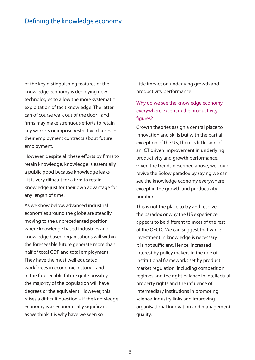of the key distinguishing features of the knowledge economy is deploying new technologies to allow the more systematic exploitation of tacit knowledge. The latter can of course walk out of the door - and firms may make strenuous efforts to retain key workers or impose restrictive clauses in their employment contracts about future employment.

However, despite all these efforts by firms to retain knowledge, knowledge is essentially a public good because knowledge leaks - it is very difficult for a firm to retain knowledge just for their own advantage for any length of time.

As we show below, advanced industrial economies around the globe are steadily moving to the unprecedented position where knowledge based industries and knowledge based organisations will within the foreseeable future generate more than half of total GDP and total employment. They have the most well educated workforces in economic history – and in the foreseeable future quite possibly the majority of the population will have degrees or the equivalent. However, this raises a difficult question  $-$  if the knowledge economy is as economically significant as we think it is why have we seen so

little impact on underlying growth and productivity performance.

### Why do we see the knowledge economy everywhere except in the productivity figures?

Growth theories assign a central place to innovation and skills but with the partial exception of the US, there is little sign of an ICT driven improvement in underlying productivity and growth performance. Given the trends described above, we could revive the Solow paradox by saying we can see the knowledge economy everywhere except in the growth and productivity numbers.

This is not the place to try and resolve the paradox or why the US experience appears to be different to most of the rest of the OECD. We can suggest that while investment in knowledge is necessary it is not sufficient. Hence, increased interest by policy makers in the role of institutional frameworks set by product market regulation, including competition regimes and the right balance in intellectual property rights and the influence of intermediary institutions in promoting science-industry links and improving organisational innovation and management quality.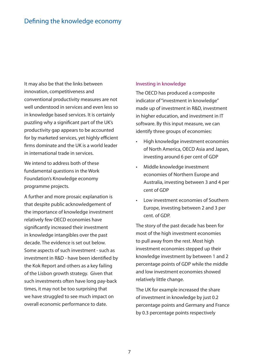It may also be that the links between innovation, competitiveness and conventional productivity measures are not well understood in services and even less so in knowledge based services. It is certainly puzzling why a significant part of the UK's productivity gap appears to be accounted for by marketed services, yet highly efficient firms dominate and the UK is a world leader in international trade in services.

We intend to address both of these fundamental questions in the Work Foundation's Knowledge economy programme projects.

A further and more prosaic explanation is that despite public acknowledgement of the importance of knowledge investment relatively few OECD economies have significantly increased their investment in knowledge intangibles over the past decade. The evidence is set out below. Some aspects of such investment - such as investment in R&D - have been identified by the Kok Report and others as a key failing of the Lisbon growth strategy. Given that such investments often have long pay-back times, it may not be too surprising that we have struggled to see much impact on overall economic performance to date.

#### Investing in knowledge

The OECD has produced a composite indicator of "investment in knowledge" made up of investment in R&D, investment in higher education, and investment in IT software. By this input measure, we can identify three groups of economies:

- High knowledge investment economies of North America, OECD Asia and Japan, investing around 6 per cent of GDP •
- Middle knowledge investment economies of Northern Europe and Australia, investing between 3 and 4 per cent of GDP •
- Low investment economies of Southern Europe, investing between 2 and 3 per cent. of GDP. •

The story of the past decade has been for most of the high investment economies to pull away from the rest. Most high investment economies stepped up their knowledge investment by between 1 and 2 percentage points of GDP while the middle and low investment economies showed relatively little change.

The UK for example increased the share of investment in knowledge by just 0.2 percentage points and Germany and France by 0.3 percentage points respectively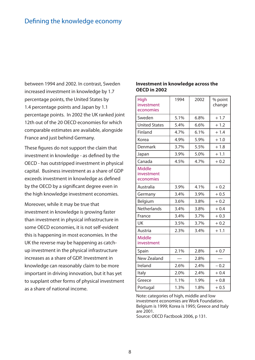between 1994 and 2002. In contrast, Sweden increased investment in knowledge by 1.7 percentage points, the United States by 1.4 percentage points and Japan by 1.1 percentage points. In 2002 the UK ranked joint 12th out of the 20 OECD economies for which comparable estimates are available, alongside France and just behind Germany.

These figures do not support the claim that investment in knowledge - as defined by the OECD - has outstripped investment in physical capital. Business investment as a share of GDP exceeds investment in knowledge as defined by the OECD by a significant degree even in the high knowledge investment economies.

Moreover, while it may be true that investment in knowledge is growing faster than investment in physical infrastructure in some OECD economies, it is not self-evident this is happening in most economies. In the UK the reverse may be happening as catchup investment in the physical infrastructure increases as a share of GDP. Investment in knowledge can reasonably claim to be more important in driving innovation, but it has yet to supplant other forms of physical investment as a share of national income.

#### **Investment in knowledge across the OECD in 2002**

| <b>High</b><br>investment<br>economies   | 1994 | 2002 | % point<br>change |
|------------------------------------------|------|------|-------------------|
| Sweden                                   | 5.1% | 6.8% | $+1.7$            |
| <b>United States</b>                     | 5.4% | 6.6% | $+1.2$            |
| Finland                                  | 4.7% | 6.1% | $+1.4$            |
| Korea                                    | 4.9% | 5.9% | $+1.0$            |
| Denmark                                  | 3.7% | 5.5% | $+1.8$            |
| Japan                                    | 3.9% | 5.0% | $+1.1$            |
| Canada                                   | 4.5% | 4.7% | $+0.2$            |
| <b>Middle</b><br>investment<br>economies |      |      |                   |
| Australia                                | 3.9% | 4.1% | $+0.2$            |
| Germany                                  | 3.4% | 3.9% | $+0.5$            |
| Belgium                                  | 3.6% | 3.8% | $+0.2$            |
| Netherlands                              | 3.4% | 3.8% | $+0.4$            |
| France                                   | 3.4% | 3.7% | $+0.3$            |
| <b>UK</b>                                | 3.5% | 3.7% | $+0.2$            |
| Austria                                  | 2.3% | 3.4% | $+1.1$            |
| <b>Middle</b><br>investment              |      |      |                   |
| Spain                                    | 2.1% | 2.8% | $+0.7$            |
| <b>New Zealand</b>                       |      | 2.8% |                   |
| Ireland                                  | 2.6% | 2.4% | $-0.2$            |
| Italy                                    | 2.0% | 2.4% | $+0.4$            |
| Greece                                   | 1.1% | 1.9% | $+0.8$            |
| Portugal                                 | 1.3% | 1.8% | $+0.5$            |

Note: categories of high, middle and low investment economies are Work Foundation. Belgium is 1999; Korea is 1995; Greece and Italy are 2001.

Source: OECD Factbook 2006, p 131.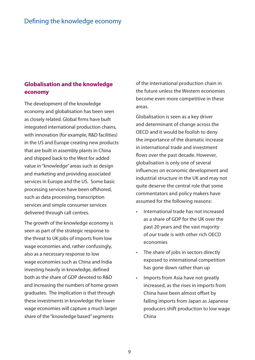### **Globalisation and the knowledge economy**

The development of the knowledge economy and globalisation has been seen as closely related. Global firms have built integrated international production chains, with innovation (for example, R&D facilities) in the US and Europe creating new products that are built in assembly plants in China and shipped back to the West for added value in "knowledge" areas such as design and marketing and providing associated services in Europe and the US. Some basic processing services have been offshored, such as data processing, transcription services and simple consumer services delivered through call centres.

The growth of the knowledge economy is seen as part of the strategic response to the threat to UK jobs of imports from low wage economies and, rather confusingly, also as a necessary response to low wage economies such as China and India investing heavily in knowledge, defined both as the share of GDP devoted to R&D and increasing the numbers of home grown graduates. The implication is that through these investments in knowledge the lower wage economies will capture a much larger share of the "knowledge based" segments

of the international production chain in the future unless the Western economies become even more competitive in these areas.

Globalisation is seen as a key driver and determinant of change across the OECD and it would be foolish to deny the importance of the dramatic increase in international trade and investment flows over the past decade. However, globalisation is only one of several influences on economic development and industrial structure in the UK and may not quite deserve the central role that some commentators and policy makers have assumed for the following reasons:

- International trade has not increased as a share of GDP for the UK over the past 20 years and the vast majority of our trade is with other rich OECD economies •
- The share of jobs in sectors directly exposed to international competition has gone down rather than up •
- Imports from Asia have not greatly increased, as the rises in imports from China have been almost offset by falling imports from Japan as Japanese producers shift production to low wage China •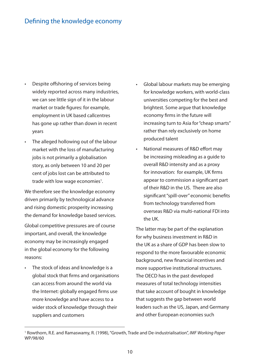- Despite offshoring of services being widely reported across many industries, we can see little sign of it in the labour market or trade figures: for example, employment in UK based callcentres has gone up rather than down in recent years •
- The alleged hollowing out of the labour market with the loss of manufacturing jobs is not primarily a globalisation story, as only between 10 and 20 per cent of jobs lost can be attributed to trade with low wage economies<sup>1</sup>. •

We therefore see the knowledge economy driven primarily by technological advance and rising domestic prosperity increasing the demand for knowledge based services.

Global competitive pressures are of course important, and overall, the knowledge economy may be increasingly engaged in the global economy for the following reasons:

The stock of ideas and knowledge is a global stock that firms and organisations can access from around the world via the Internet: globally engaged firms use more knowledge and have access to a wider stock of knowledge through their suppliers and customers •

- Global labour markets may be emerging for knowledge workers, with world-class universities competing for the best and brightest. Some argue that knowledge economy firms in the future will increasing turn to Asia for "cheap smarts" rather than rely exclusively on home produced talent •
- National measures of R&D effort may be increasing misleading as a guide to overall R&D intensity and as a proxy for innovation: for example, UK firms appear to commission a significant part of their R&D in the US. There are also significant "spill-over" economic benefits from technology transferred from overseas R&D via multi-national FDI into the UK. •

The latter may be part of the explanation for why business investment in R&D in the UK as a share of GDP has been slow to respond to the more favourable economic background, new financial incentives and more supportive institutional structures. The OECD has in the past developed measures of total technology intensities that take account of bought in knowledge that suggests the gap between world leaders such as the US, Japan, and Germany and other European economies such

<sup>&</sup>lt;sup>1</sup> Rowthorn, R.E. and Ramaswamy, R. (1998), "Growth, Trade and De-industrialisation", IMF Working Paper WP/98/60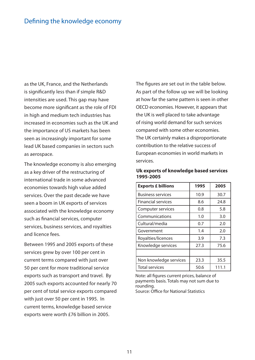as the UK, France, and the Netherlands is significantly less than if simple R&D intensities are used. This gap may have become more significant as the role of FDI in high and medium tech industries has increased in economies such as the UK and the importance of US markets has been seen as increasingly important for some lead UK based companies in sectors such as aerospace.

The knowledge economy is also emerging as a key driver of the restructuring of international trade in some advanced economies towards high value added services. Over the past decade we have seen a boom in UK exports of services associated with the knowledge economy such as financial services, computer services, business services, and royalties and licence fees.

Between 1995 and 2005 exports of these services grew by over 100 per cent in current terms compared with just over 50 per cent for more traditional service exports such as transport and travel. By 2005 such exports accounted for nearly 70 per cent of total service exports compared with just over 50 per cent in 1995. In current terms, knowledge based service exports were worth £76 billion in 2005.

The figures are set out in the table below. As part of the follow up we will be looking at how far the same pattern is seen in other OECD economies. However, it appears that the UK is well placed to take advantage of rising world demand for such services compared with some other economies. The UK certainly makes a disproportionate contribution to the relative success of European economies in world markets in services.

| <b>Exports £ billions</b> | 1995 | 2005  |
|---------------------------|------|-------|
| <b>Business services</b>  | 10.9 | 30.7  |
| <b>Financial services</b> | 8.6  | 24.8  |
| Computer services         | 0.8  | 5.8   |
| Communications            | 1.0  | 3.0   |
| Cultural/media            | 0.7  | 2.0   |
| Government                | 1.4  | 2.0   |
| Royalties/licences        | 3.9  | 7.3   |
| Knowledge services        | 27.3 | 75.6  |
|                           |      |       |
| Non knowledge services    | 23.3 | 35.5  |
| <b>Total services</b>     | 50.6 | 111.1 |

**Uk exports of knowledge based services 1995-2005**

Note: all figures current prices, balance of payments basis. Totals may not sum due to rounding.

Source: Office for National Statistics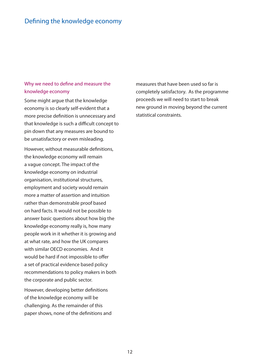### Why we need to define and measure the knowledge economy

Some might argue that the knowledge economy is so clearly self-evident that a more precise definition is unnecessary and that knowledge is such a difficult concept to pin down that any measures are bound to be unsatisfactory or even misleading.

However, without measurable definitions, the knowledge economy will remain a vague concept. The impact of the knowledge economy on industrial organisation, institutional structures, employment and society would remain more a matter of assertion and intuition rather than demonstrable proof based on hard facts. It would not be possible to answer basic questions about how big the knowledge economy really is, how many people work in it whether it is growing and at what rate, and how the UK compares with similar OECD economies. And it would be hard if not impossible to offer a set of practical evidence based policy recommendations to policy makers in both the corporate and public sector.

However, developing better definitions of the knowledge economy will be challenging. As the remainder of this paper shows, none of the definitions and measures that have been used so far is completely satisfactory. As the programme proceeds we will need to start to break new ground in moving beyond the current statistical constraints.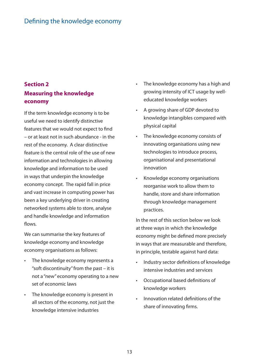### **Section 2 Measuring the knowledge economy**

If the term knowledge economy is to be useful we need to identify distinctive features that we would not expect to find – or at least not in such abundance - in the rest of the economy. A clear distinctive feature is the central role of the use of new information and technologies in allowing knowledge and information to be used in ways that underpin the knowledge economy concept. The rapid fall in price and vast increase in computing power has been a key underlying driver in creating networked systems able to store, analyse and handle knowledge and information flows.

We can summarise the key features of knowledge economy and knowledge economy organisations as follows:

- The knowledge economy represents a "soft discontinuity" from the past – it is not a "new" economy operating to a new set of economic laws •
- The knowledge economy is present in all sectors of the economy, not just the knowledge intensive industries •
- The knowledge economy has a high and growing intensity of ICT usage by welleducated knowledge workers •
- A growing share of GDP devoted to knowledge intangibles compared with physical capital •
- The knowledge economy consists of innovating organisations using new technologies to introduce process, organisational and presentational innovation •
- Knowledge economy organisations reorganise work to allow them to handle, store and share information through knowledge management practices. •

In the rest of this section below we look at three ways in which the knowledge economy might be defined more precisely in ways that are measurable and therefore, in principle, testable against hard data:

- Industry sector definitions of knowledge intensive industries and services •
- Occupational based definitions of knowledge workers •
- Innovation related definitions of the share of innovating firms. •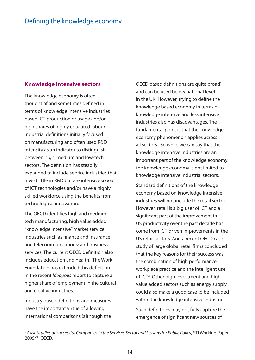### **Knowledge intensive sectors**

The knowledge economy is often thought of and sometimes defined in terms of knowledge intensive industries based ICT production or usage and/or high shares of highly educated labour. Industrial definitions initially focused on manufacturing and often used R&D intensity as an indicator to distinguish between high, medium and low-tech sectors. The definition has steadily expanded to include service industries that invest little in R&D but are intensive **users** of ICT technologies and/or have a highly skilled workforce using the benefits from technological innovation.

The OECD identifies high and medium tech manufacturing; high value added "knowledge intensive" market service industries such as finance and insurance and telecommunications; and business services. The current OECD definition also includes education and health. The Work Foundation has extended this definition in the recent Ideopolis report to capture a higher share of employment in the cultural and creative industries.

Industry based definitions and measures have the important virtue of allowing international comparisons (although the

OECD based definitions are quite broad) and can be used below national level in the UK. However, trying to define the knowledge based economy in terms of knowledge intensive and less intensive industries also has disadvantages. The fundamental point is that the knowledge economy phenomenon applies across all sectors. So while we can say that the knowledge intensive industries are an important part of the knowledge economy, the knowledge economy is not limited to knowledge intensive industrial sectors.

Standard definitions of the knowledge economy based on knowledge intensive industries will not include the retail sector. However, retail is a big user of ICT and a significant part of the improvement in US productivity over the past decade has come from ICT-driven improvements in the US retail sectors. And a recent OECD case study of large global retail firms concluded that the key reasons for their success was the combination of high performance workplace practice and the intelligent use of ICT2 . Other high investment and high value added sectors such as energy supply could also make a good case to be included within the knowledge intensive industries.

Such definitions may not fully capture the emergence of significant new sources of

<sup>&</sup>lt;sup>2</sup> Case Studies of Successful Companies in the Services Sector and Lessons for Public Policy, STI Working Paper 2005/7, OECD.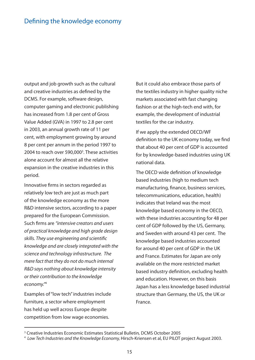output and job growth such as the cultural and creative industries as defined by the DCMS. For example, software design, computer gaming and electronic publishing has increased from 1.8 per cent of Gross Value Added (GVA) in 1997 to 2.8 per cent in 2003, an annual growth rate of 11 per cent, with employment growing by around 8 per cent per annum in the period 1997 to 2004 to reach over 590,000<sup>3</sup>. These activities alone account for almost all the relative expansion in the creative industries in this period.

Innovative firms in sectors regarded as relatively low tech are just as much part of the knowledge economy as the more R&D intensive sectors, according to a paper prepared for the European Commission. Such firms are "intensive creators and users of practical knowledge and high grade design skills. They use engineering and scientific knowledge and are closely integrated with the science and technology infrastructure. The mere fact that they do not do much internal R&D says nothing about knowledge intensity or their contribution to the knowledge economy."<sup>4</sup>

Examples of "low tech" industries include furniture, a sector where employment has held up well across Europe despite competition from low wage economies.

But it could also embrace those parts of the textiles industry in higher quality niche markets associated with fast changing fashion or at the high-tech end with, for example, the development of industrial textiles for the car industry.

If we apply the extended OECD/WF definition to the UK economy today, we find that about 40 per cent of GDP is accounted for by knowledge-based industries using UK national data.

The OECD wide definition of knowledge based industries (high to medium tech manufacturing, finance, business services, telecommunications, education, health) indicates that Ireland was the most knowledge based economy in the OECD, with these industries accounting for 48 per cent of GDP followed by the US, Germany, and Sweden with around 43 per cent. The knowledge based industries accounted for around 40 per cent of GDP in the UK and France. Estimates for Japan are only available on the more restricted market based industry definition, excluding health and education. However, on this basis Japan has a less knowledge based industrial structure than Germany, the US, the UK or France.

<sup>&</sup>lt;sup>3</sup> Creative Industries Economic Estimates Statistical Bulletin, DCMS October 2005

<sup>&</sup>lt;sup>4</sup> Low Tech Industries and the Knowledge Economy, Hirsch-Kriensen et al, EU PILOT project August 2003.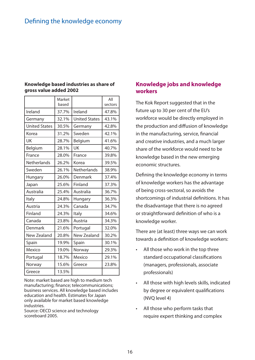| Knowledge based industries as share of |  |
|----------------------------------------|--|
| gross value added 2002                 |  |

|                      | Market<br>based |                      | All<br>sectors |
|----------------------|-----------------|----------------------|----------------|
| Ireland              | 37.7%           | Ireland              | 47.8%          |
| Germany              | 32.1%           | <b>United States</b> | 43.1%          |
| <b>United States</b> | 30.5%           | Germany              | 42.8%          |
| Korea                | 31.2%           | Sweden               | 42.1%          |
| UK                   | 28.7%           | Belgium              | 41.6%          |
| Belgium              | 28.1%           | <b>UK</b>            | 40.7%          |
| France               | 28.0%           | France               | 39.8%          |
| <b>Netherlands</b>   | 26.2%           | Korea                | 39.5%          |
| Sweden               | 26.1%           | <b>Netherlands</b>   | 38.9%          |
| Hungary              | 26.0%           | Denmark              | 37.4%          |
| Japan                | 25.6%           | Finland              | 37.3%          |
| Australia            | 25.4%           | Australia            | 36.7%          |
| Italy                | 24.8%           | Hungary              | 36.3%          |
| Austria              | 24.3%           | Canada               | 34.7%          |
| Finland              | 24.3%           | Italy                | 34.6%          |
| Canada               | 23.8%           | Austria              | 34.3%          |
| Denmark              | 21.6%           | Portugal             | 32.0%          |
| <b>New Zealand</b>   | 20.8%           | <b>New Zealand</b>   | 30.2%          |
| Spain                | 19.9%           | Spain                | 30.1%          |
| Mexico               | 19.0%           | Norway               | 29.3%          |
| Portugal             | 18.7%           | Mexico               | 29.1%          |
| Norway               | 15.6%           | Greece               | 23.8%          |
| Greece               | 13.5%           |                      |                |

Note: market based are high to medium tech manufacturing; finance; telecommunications; business services. All knowledge based includes education and health. Estimates for Japan only available for market based knowledge industries.

Source: OECD science and technology scoreboard 2005.

### **Knowledge jobs and knowledge workers**

The Kok Report suggested that in the future up to 30 per cent of the EU's workforce would be directly employed in the production and diffusion of knowledge in the manufacturing, service, financial and creative industries, and a much larger share of the workforce would need to be knowledge based in the new emerging economic structures.

Defining the knowledge economy in terms of knowledge workers has the advantage of being cross-sectoral, so avoids the shortcomings of industrial definitions. It has the disadvantage that there is no agreed or straightforward definition of who is a knowledge worker.

There are (at least) three ways we can work towards a definition of knowledge workers:

- All those who work in the top three standard occupational classifications (managers, professionals, associate professionals) •
- All those with high levels skills, indicated by degree or equivalent qualifications (NVQ level 4) •
- All those who perform tasks that require expert thinking and complex •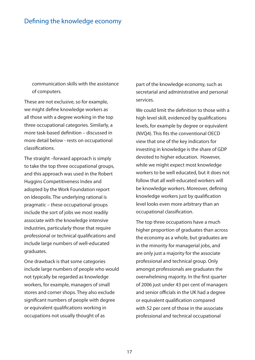communication skills with the assistance of computers.

These are not exclusive, so for example, we might define knowledge workers as all those with a degree working in the top three occupational categories. Similarly, a more task-based definition – discussed in more detail below - rests on occupational classifications.

The straight –forward approach is simply to take the top three occupational groups, and this approach was used in the Robert Huggins Competitiveness Index and adopted by the Work Foundation report on Ideopolis. The underlying rational is pragmatic – these occupational groups include the sort of jobs we most readily associate with the knowledge intensive industries, particularly those that require professional or technical qualifications and include large numbers of well-educated graduates.

One drawback is that some categories include large numbers of people who would not typically be regarded as knowledge workers, for example, managers of small stores and corner shops. They also exclude significant numbers of people with degree or equivalent qualifications working in occupations not usually thought of as

part of the knowledge economy, such as secretarial and administrative and personal services.

We could limit the definition to those with a high level skill, evidenced by qualifications levels, for example by degree or equivalent (NVQ4). This fits the conventional OECD view that one of the key indicators for investing in knowledge is the share of GDP devoted to higher education. However, while we might expect most knowledge workers to be well educated, but it does not follow that all well-educated workers will be knowledge workers. Moreover, defining knowledge workers just by qualification level looks even more arbitrary than an occupational classification.

The top three occupations have a much higher proportion of graduates than across the economy as a whole, but graduates are in the minority for managerial jobs, and are only just a majority for the associate professional and technical group. Only amongst professionals are graduates the overwhelming majority. In the first quarter of 2006 just under 43 per cent of managers and senior officials in the UK had a degree or equivalent qualification compared with 52 per cent of those in the associate professional and technical occupational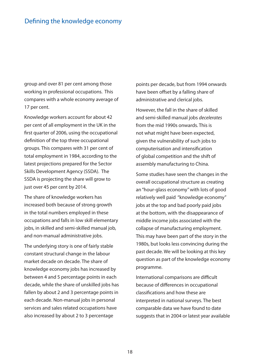group and over 81 per cent among those working in professional occupations. This compares with a whole economy average of 17 per cent.

Knowledge workers account for about 42 per cent of all employment in the UK in the first quarter of 2006, using the occupational definition of the top three occupational groups. This compares with 31 per cent of total employment in 1984, according to the latest projections prepared for the Sector Skills Development Agency (SSDA). The SSDA is projecting the share will grow to just over 45 per cent by 2014.

The share of knowledge workers has increased both because of strong growth in the total numbers employed in these occupations and falls in low skill elementary jobs, in skilled and semi-skilled manual job, and non-manual administrative jobs.

The underlying story is one of fairly stable constant structural change in the labour market decade on decade. The share of knowledge economy jobs has increased by between 4 and 5 percentage points in each decade, while the share of unskilled jobs has fallen by about 2 and 3 percentage points in each decade. Non-manual jobs in personal services and sales related occupations have also increased by about 2 to 3 percentage

points per decade, but from 1994 onwards have been offset by a falling share of administrative and clerical jobs.

However, the fall in the share of skilled and semi-skilled manual jobs decelerates from the mid 1990s onwards. This is not what might have been expected, given the vulnerability of such jobs to computerisation and intensification of global competition and the shift of assembly manufacturing to China.

Some studies have seen the changes in the overall occupational structure as creating an "hour-glass economy" with lots of good relatively well paid "knowledge economy" jobs at the top and bad poorly paid jobs at the bottom, with the disappearance of middle income jobs associated with the collapse of manufacturing employment. This may have been part of the story in the 1980s, but looks less convincing during the past decade. We will be looking at this key question as part of the knowledge economy programme.

International comparisons are difficult because of differences in occupational classifications and how these are interpreted in national surveys. The best comparable data we have found to date suggests that in 2004 or latest year available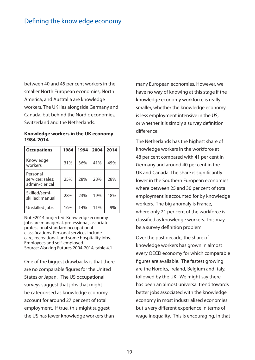between 40 and 45 per cent workers in the smaller North European economies, North America, and Australia are knowledge workers. The UK lies alongside Germany and Canada, but behind the Nordic economies, Switzerland and the Netherlands.

#### **Knowledge workers in the UK economy 1984-2014**

| <b>Occupations</b>                             | 1984 | 1994 | 2004 | 2014 |
|------------------------------------------------|------|------|------|------|
| Knowledge<br>workers                           | 31%  | 36%  | 41%  | 45%  |
| Personal<br>services; sales;<br>admin/clerical | 25%  | 28%  | 28%  | 28%  |
| Skilled/semi-<br>skilled; manual               | 28%  | 23%  | 19%  | 18%  |
| Unskilled jobs                                 | 16%  | 14%  | 11%  | 9%   |

Note:2014 projected. Knowledge economy jobs are managerial, professional, associate professional standard occupational classifi cations. Personal services include care, recreational, and some hospitality jobs. Employees and self-employed. Source: Working Futures 2004-2014, table 4.1

One of the biggest drawbacks is that there are no comparable figures for the United States or Japan. The US occupational surveys suggest that jobs that might be categorised as knowledge economy account for around 27 per cent of total employment. If true, this might suggest the US has fewer knowledge workers than

many European economies. However, we have no way of knowing at this stage if the knowledge economy workforce is really smaller, whether the knowledge economy is less employment intensive in the US, or whether it is simply a survey definition difference.

The Netherlands has the highest share of knowledge workers in the workforce at 48 per cent compared with 41 per cent in Germany and around 40 per cent in the UK and Canada. The share is significantly lower in the Southern European economies where between 25 and 30 per cent of total employment is accounted for by knowledge workers. The big anomaly is France, where only 21 per cent of the workforce is classified as knowledge workers. This may be a survey definition problem.

Over the past decade, the share of knowledge workers has grown in almost every OECD economy for which comparable figures are available. The fastest growing are the Nordics, Ireland, Belgium and Italy, followed by the UK. We might say there has been an almost universal trend towards better jobs associated with the knowledge economy in most industrialised economies but a very different experience in terms of wage inequality. This is encouraging, in that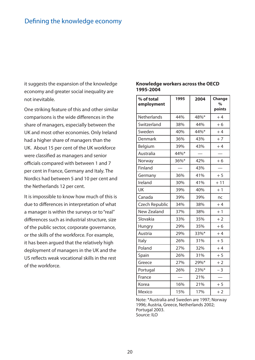it suggests the expansion of the knowledge economy and greater social inequality are not inevitable.

One striking feature of this and other similar comparisons is the wide differences in the share of managers, especially between the UK and most other economies. Only Ireland had a higher share of managers than the UK. About 15 per cent of the UK workforce were classified as managers and senior officials compared with between 1 and 7 per cent in France, Germany and Italy. The Nordics had between 5 and 10 per cent and the Netherlands 12 per cent.

It is impossible to know how much of this is due to differences in interpretation of what a manager is within the surveys or to "real" differences such as industrial structure, size of the public sector, corporate governance, or the skills of the workforce. For example, it has been argued that the relatively high deployment of managers in the UK and the US reflects weak vocational skills in the rest of the workforce.

#### **Knowledge workers across the OECD 1995-2004**

| % of total<br>employment | 1995 | 2004 | Change<br>$\%$<br>points |
|--------------------------|------|------|--------------------------|
| <b>Netherlands</b>       | 44%  | 48%* | $+4$                     |
| Switzerland              | 38%  | 44%  | $+6$                     |
| Sweden                   | 40%  | 44%* | $+4$                     |
| Denmark                  | 36%  | 43%  | $+7$                     |
| Belgium                  | 39%  | 43%  | $+4$                     |
| Australia                | 44%* |      |                          |
| Norway                   | 36%* | 42%  | $+6$                     |
| Finland                  |      | 43%  |                          |
| Germany                  | 36%  | 41%  | $+5$                     |
| Ireland                  | 30%  | 41%  | $+11$                    |
| UK                       | 39%  | 40%  | $+1$                     |
| Canada                   | 39%  | 39%  | nc                       |
| Czech Republic           | 34%  | 38%  | $+4$                     |
| New Zealand              | 37%  | 38%  | $+1$                     |
| Slovakia                 | 33%  | 35%  | $+2$                     |
| Hungry                   | 29%  | 35%  | $+6$                     |
| Austria                  | 29%  | 33%* | $+4$                     |
| Italy                    | 26%  | 31%  | $+5$                     |
| Poland                   | 27%  | 32%  | $+4$                     |
| Spain                    | 26%  | 31%  | $+5$                     |
| Greece                   | 27%  | 29%* | $+2$                     |
| Portugal                 | 26%  | 23%* | $-3$                     |
| France                   |      | 21%  |                          |
| Korea                    | 16%  | 21%  | $+5$                     |
| Mexico                   | 15%  | 17%  | $+2$                     |

Note: \*Australia and Sweden are 1997; Norway 1996; Austria, Greece, Netherlands 2002; Portugal 2003. Source: ILO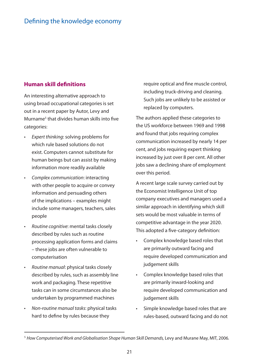### **Human skill definitions**

An interesting alternative approach to using broad occupational categories is set out in a recent paper by Autor, Levy and Murname<sup>5</sup> that divides human skills into five categories:

- Expert thinking: solving problems for which rule based solutions do not exist. Computers cannot substitute for human beings but can assist by making information more readily available •
- Complex communication: interacting with other people to acquire or convey information and persuading others of the implications – examples might include some managers, teachers, sales people
- Routine cognitive: mental tasks closely described by rules such as routine processing application forms and claims – these jobs are often vulnerable to computerisation
- Routine manual: physical tasks closely described by rules, such as assembly line work and packaging. These repetitive tasks can in some circumstances also be undertaken by programmed machines
- Non-routine manual tasks: physical tasks hard to define by rules because they •

require optical and fine muscle control, including truck-driving and cleaning. Such jobs are unlikely to be assisted or replaced by computers.

The authors applied these categories to the US workforce between 1969 and 1998 and found that jobs requiring complex communication increased by nearly 14 per cent, and jobs requiring expert thinking increased by just over 8 per cent. All other jobs saw a declining share of employment over this period.

A recent large scale survey carried out by the Economist Intelligence Unit of top company executives and managers used a similar approach in identifying which skill sets would be most valuable in terms of competitive advantage in the year 2020. This adopted a five-category definition:

- Complex knowledge based roles that are primarily outward facing and require developed communication and judgement skills •
- Complex knowledge based roles that are primarily inward-looking and require developed communication and judgement skills
- Simple knowledge based roles that are rules-based, outward facing and do not •

<sup>5</sup> How Computerised Work and Globalisation Shape Human Skill Demands, Levy and Murane May, MIT, 2006.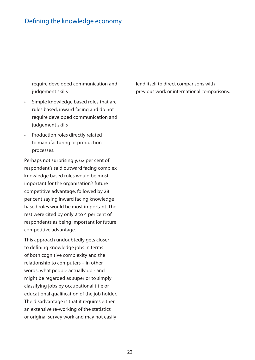require developed communication and judgement skills

- Simple knowledge based roles that are rules based, inward facing and do not require developed communication and judgement skills
- Production roles directly related to manufacturing or production processes.

Perhaps not surprisingly, 62 per cent of respondent's said outward facing complex knowledge based roles would be most important for the organisation's future competitive advantage, followed by 28 per cent saying inward facing knowledge based roles would be most important. The rest were cited by only 2 to 4 per cent of respondents as being important for future competitive advantage.

This approach undoubtedly gets closer to defining knowledge jobs in terms of both cognitive complexity and the relationship to computers – in other words, what people actually do - and might be regarded as superior to simply classifying jobs by occupational title or educational qualification of the job holder. The disadvantage is that it requires either an extensive re-working of the statistics or original survey work and may not easily

lend itself to direct comparisons with previous work or international comparisons.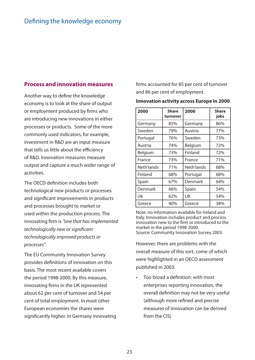#### **Process and innovation measures**

Another way to define the knowledge economy is to look at the share of output or employment produced by firms who are introducing new innovations in either processes or products. Some of the more commonly used indicators, for example, investment in R&D are an input measure that tells us little about the efficiency of R&D. Innovation measures measure output and capture a much wider range of activities.

The OECD definition includes both technological new products or processes and significant improvements in products and processes brought to market or used within the production process. The innovating firm is "one that has implemented technologically new or significant technologically improved products or processes".

The EU Community Innovation Survey provides definitions of innovation on this basis. The most recent available covers the period 1998-2000. By this measure, innovating firms in the UK represented about 62 per cent of turnover and 54 per cent of total employment. In most other European economies the shares were significantly higher. In Germany innovating firms accounted for 85 per cent of turnover and 86 per cent of employment.

#### **Innovation activity across Europe in 2000**

| 2000       | <b>Share</b><br>turnover | 2000       | <b>Share</b><br>jobs |
|------------|--------------------------|------------|----------------------|
| Germany    | 85%                      | Germany    | 86%                  |
| Sweden     | 79%                      | Austria    | 77%                  |
| Portugal   | 76%                      | Sweden     | 73%                  |
| Austria    | 74%                      | Belgium    | 72%                  |
| Belgium    | 73%                      | Finland    | 72%                  |
| France     | 73%                      | France     | 71%                  |
| Neth'lands | 71%                      | Neth'lands | 68%                  |
| Finland    | 68%                      | Portugal   | 68%                  |
| Spain      | 67%                      | Denmark    | 64%                  |
| Denmark    | 66%                      | Spain      | 54%                  |
| Uk         | 62%                      | UK         | 54%                  |
| Greece     | 40%                      | Greece     | 38%                  |

Note: no information available for Ireland and Italy. Innovation includes product and process innovation new to the firm or introduced to the market in the period 1998-2000. Source: Community Innovation Survey 2003

However, there are problems with the overall measure of this sort, come of which were highlighted in an OECD assessment published in 2003:

Too broad a definition: with most enterprises reporting innovation, the overall definition may not be very useful (although more refined and precise measures of innovation can be derived from the CIS) •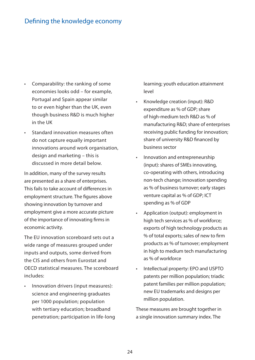- Comparability: the ranking of some economies looks odd – for example, Portugal and Spain appear similar to or even higher than the UK, even though business R&D is much higher in the UK
- Standard innovation measures often do not capture equally important innovations around work organisation, design and marketing – this is discussed in more detail below.

In addition, many of the survey results are presented as a share of enterprises. This fails to take account of differences in employment structure. The figures above showing innovation by turnover and employment give a more accurate picture of the importance of innovating firms in economic activity.

The EU innovation scoreboard sets out a wide range of measures grouped under inputs and outputs, some derived from the CIS and others from Eurostat and OECD statistical measures. The scoreboard includes:

Innovation drivers (input measures): science and engineering graduates per 1000 population; population with tertiary education; broadband penetration; participation in life-long •

learning; youth education attainment level

- Knowledge creation (input): R&D expenditure as % of GDP; share of high-medium tech R&D as % of manufacturing R&D; share of enterprises receiving public funding for innovation; share of university R&D financed by business sector •
- Innovation and entrepreneurship (input): shares of SMEs innovating, co-operating with others, introducing non-tech change; innovation spending as % of business turnover; early stages venture capital as % of GDP; ICT spending as % of GDP •
- Application (output): employment in high tech services as % of workforce; exports of high technology products as % of total exports; sales of new to firm products as % of turnover; employment in high to medium tech manufacturing as % of workforce
- Intellectual property: EPO and USPTO patents per million population; triadic patent families per million population; new EU trademarks and designs per million population. •

These measures are brought together in a single innovation summary index. The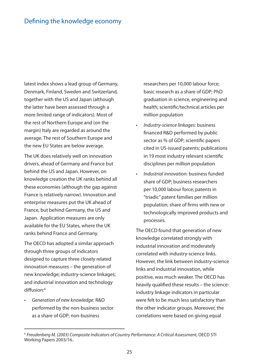latest index shows a lead group of Germany, Denmark, Finland, Sweden and Switzerland, together with the US and Japan (although the latter have been assessed through a more limited range of indicators). Most of the rest of Northern Europe and (on the margin) Italy are regarded as around the average. The rest of Southern Europe and the new EU States are below average.

The UK does relatively well on innovation drivers, ahead of Germany and France but behind the US and Japan. However, on knowledge creation the UK ranks behind all these economies (although the gap against France is relatively narrow). Innovation and enterprise measures put the UK ahead of France, but behind Germany, the US and Japan. Application measures are only available for the EU States, where the UK ranks behind France and Germany.

The OECD has adopted a similar approach through three groups of indicators designed to capture three closely related innovation measures – the generation of new knowledge; industry-science linkages; and industrial innovation and technology diffusion:<sup>6</sup>

Generation of new knowledge: R&D performed by the non-business sector as a share of GDP; non-business •

researchers per 10,000 labour force; basic research as a share of GDP; PhD graduation in science, engineering and health; scientific/technical articles per million population

- Industry-science linkages: business financed R&D performed by public sector as % of GDP; scientific papers cited in US-issued patents; publications in 19 most industry relevant scientific disciplines per million population •
- Industrial innovation: business funded share of GDP; business researchers per 10,000 labour force; patents in "triadic" patent families per million population; share of firms with new or technologically improved products and processes. •

The OECD found that generation of new knowledge correlated strongly with industrial innovation and moderately correlated with industry-science links. However, the link between industry-science links and industrial innovation, while positive, was much weaker. The OECD has heavily qualified these results – the scienceindustry linkage indicators in particular were felt to be much less satisfactory than the other indicator groups. Moreover, the correlations were based on giving equal

<sup>6</sup> Freudenberg M. (2003) Composite Indicators of Country Performance: A Critical Assessment, OECD STI Working Papers 2003/16..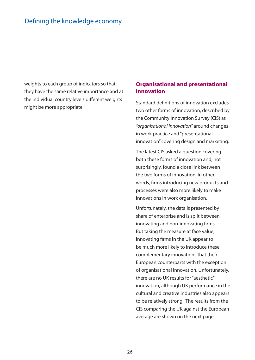weights to each group of indicators so that they have the same relative importance and at the individual country levels different weights might be more appropriate.

### **Organisational and presentational innovation**

Standard definitions of innovation excludes two other forms of innovation, described by the Community Innovation Survey (CIS) as "organisational innovation" around changes in work practice and "presentational innovation" covering design and marketing.

The latest CIS asked a question covering both these forms of innovation and, not surprisingly, found a close link between the two forms of innovation. In other words, firms introducing new products and processes were also more likely to make innovations in work organisation.

Unfortunately, the data is presented by share of enterprise and is split between innovating and non-innovating firms. But taking the measure at face value, innovating firms in the UK appear to be much more likely to introduce these complementary innovations that their European counterparts with the exception of organisational innovation. Unfortunately, there are no UK results for "aesthetic" innovation, although UK performance in the cultural and creative industries also appears to be relatively strong. The results from the CIS comparing the UK against the European average are shown on the next page.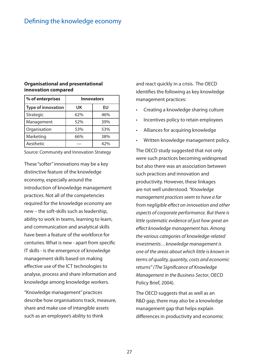#### **Organisational and presentational innovation compared**

| % of enterprises          | <b>Innovators</b> |     |
|---------------------------|-------------------|-----|
| <b>Type of innovation</b> | UK                | EU  |
| Strategic                 | 62%               | 46% |
| Management                | 52%               | 39% |
| Organisation              | 53%               | 53% |
| Marketing                 | 66%               | 38% |
| Aesthetic                 |                   | 42% |

Source: Community and Innovation Strategy

These "softer" innovations may be a key distinctive feature of the knowledge economy, especially around the introduction of knowledge management practices. Not all of the competencies required for the knowledge economy are new – the soft-skills such as leadership, ability to work in teams, learning to learn, and communication and analytical skills have been a feature of the workforce for centuries. What is new - apart from specific IT skills - is the emergence of knowledge management skills based on making effective use of the ICT technologies to analyse, process and share information and knowledge among knowledge workers.

"Knowledge management" practices describe how organisations track, measure, share and make use of intangible assets such as an employee's ability to think

and react quickly in a crisis. The OECD identifies the following as key knowledge management practices:

- Creating a knowledge sharing culture •
- Incentives policy to retain employees •
- Alliances for acquiring knowledge •
- Written knowledge management policy. •

The OECD study suggested that not only were such practices becoming widespread but also there was an association between such practices and innovation and productivity. However, these linkages are not well understood. "Knowledge management practices seem to have a far from negligible effect on innovation and other aspects of corporate performance. But there is little systematic evidence of just how great an effect knowledge management has. Among the various categories of knowledge-related investments…knowledge management is one of the areas about which little is known in terms of quality, quantity, costs and economic returns" (The Significance of Knowledge Management in the Business Sector, OECD Policy Brief, 2004).

The OECD suggests that as well as an R&D gap, there may also be a knowledge management gap that helps explain differences in productivity and economic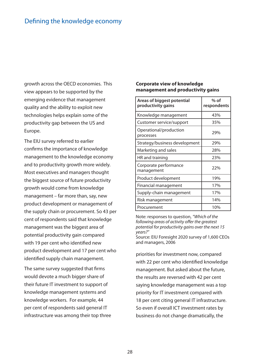growth across the OECD economies. This view appears to be supported by the emerging evidence that management quality and the ability to exploit new technologies helps explain some of the productivity gap between the US and Europe.

The EIU survey referred to earlier confirms the importance of knowledge management to the knowledge economy and to productivity growth more widely. Most executives and managers thought the biggest source of future productivity growth would come from knowledge management – far more than, say, new product development or management of the supply chain or procurement. So 43 per cent of respondents said that knowledge management was the biggest area of potential productivity gain compared with 19 per cent who identified new product development and 17 per cent who identified supply chain management.

The same survey suggested that firms would devote a much bigger share of their future IT investment to support of knowledge management systems and knowledge workers. For example, 44 per cent of respondents said general IT infrastructure was among their top three

#### **Corporate view of knowledge management and productivity gains**

| Areas of biggest potential<br>productivity gains | $%$ of<br>respondents |
|--------------------------------------------------|-----------------------|
| Knowledge management                             | 43%                   |
| Customer service/support                         | 35%                   |
| Operational/production<br>processes              | 29%                   |
| Strategy/business development                    | 29%                   |
| Marketing and sales                              | 28%                   |
| HR and training                                  | 23%                   |
| Corporate performance<br>management              | 22%                   |
| Product development                              | 19%                   |
| Financial management                             | 17%                   |
| Supply-chain management                          | 17%                   |
| Risk management                                  | 14%                   |
| Procurement                                      | 10%                   |

Note: responses to question, "Which of the following areas of activity offer the greatest potential for productivity gains over the next 15 years?"

Source: EIU Foresight 2020 survey of 1,600 CEOs and managers, 2006

priorities for investment now, compared with 22 per cent who identified knowledge management. But asked about the future, the results are reversed with 42 per cent saying knowledge management was a top priority for IT investment compared with 18 per cent citing general IT infrastructure. So even if overall ICT investment rates by business do not change dramatically, the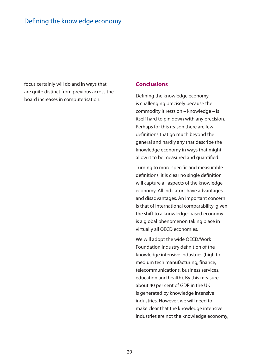focus certainly will do and in ways that are quite distinct from previous across the board increases in computerisation.

#### **Conclusions**

Defining the knowledge economy is challenging precisely because the commodity it rests on – knowledge – is itself hard to pin down with any precision. Perhaps for this reason there are few definitions that go much beyond the general and hardly any that describe the knowledge economy in ways that might allow it to be measured and quantified.

Turning to more specific and measurable definitions, it is clear no single definition will capture all aspects of the knowledge economy. All indicators have advantages and disadvantages. An important concern is that of international comparability, given the shift to a knowledge-based economy is a global phenomenon taking place in virtually all OECD economies.

We will adopt the wide OECD/Work Foundation industry definition of the knowledge intensive industries (high to medium tech manufacturing, finance, telecommunications, business services, education and health). By this measure about 40 per cent of GDP in the UK is generated by knowledge intensive industries. However, we will need to make clear that the knowledge intensive industries are not the knowledge economy,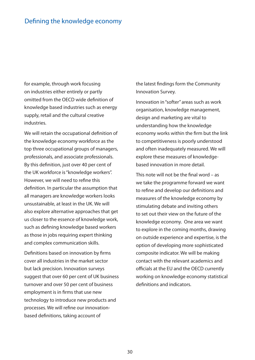for example, through work focusing on industries either entirely or partly omitted from the OECD wide definition of knowledge based industries such as energy supply, retail and the cultural creative industries.

We will retain the occupational definition of the knowledge economy workforce as the top three occupational groups of managers, professionals, and associate professionals. By this definition, just over 40 per cent of the UK workforce is "knowledge workers". However, we will need to refine this definition. In particular the assumption that all managers are knowledge workers looks unsustainable, at least in the UK. We will also explore alternative approaches that get us closer to the essence of knowledge work, such as defining knowledge based workers as those in jobs requiring expert thinking and complex communication skills.

Definitions based on innovation by firms cover all industries in the market sector but lack precision. Innovation surveys suggest that over 60 per cent of UK business turnover and over 50 per cent of business employment is in firms that use new technology to introduce new products and processes. We will refine our innovationbased definitions, taking account of

the latest findings form the Community Innovation Survey.

Innovation in "softer" areas such as work organisation, knowledge management, design and marketing are vital to understanding how the knowledge economy works within the firm but the link to competitiveness is poorly understood and often inadequately measured. We will explore these measures of knowledgebased innovation in more detail.

This note will not be the final word  $-$  as we take the programme forward we want to refine and develop our definitions and measures of the knowledge economy by stimulating debate and inviting others to set out their view on the future of the knowledge economy. One area we want to explore in the coming months, drawing on outside experience and expertise, is the option of developing more sophisticated composite indicator. We will be making contact with the relevant academics and officials at the EU and the OECD currently working on knowledge economy statistical definitions and indicators.